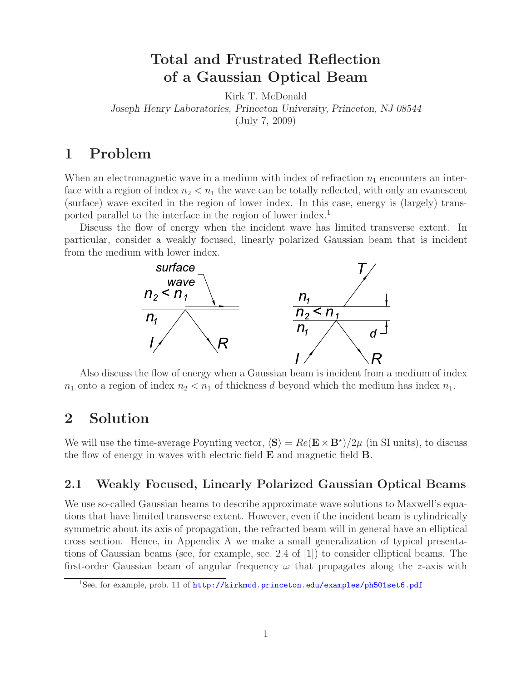# **Total and Frustrated Reflection of a Gaussian Optical Beam**

Kirk T. McDonald

*Joseph Henry Laboratories, Princeton University, Princeton, NJ 08544*

(July 7, 2009)

# **1 Problem**

When an electromagnetic wave in a medium with index of refraction  $n_1$  encounters an interface with a region of index  $n_2 < n_1$  the wave can be totally reflected, with only an evanescent (surface) wave excited in the region of lower index. In this case, energy is (largely) transported parallel to the interface in the region of lower index.<sup>1</sup>

Discuss the flow of energy when the incident wave has limited transverse extent. In particular, consider a weakly focused, linearly polarized Gaussian beam that is incident from the medium with lower index.



Also discuss the flow of energy when a Gaussian beam is incident from a medium of index  $n_1$  onto a region of index  $n_2 < n_1$  of thickness d beyond which the medium has index  $n_1$ .

# **2 Solution**

We will use the time-average Poynting vector,  $\langle S \rangle = Re(\mathbf{E} \times \mathbf{B}^*)/2\mu$  (in SI units), to discuss the flow of energy in waves with electric field **E** and magnetic field **B**.

### **2.1 Weakly Focused, Linearly Polarized Gaussian Optical Beams**

We use so-called Gaussian beams to describe approximate wave solutions to Maxwell's equations that have limited transverse extent. However, even if the incident beam is cylindrically symmetric about its axis of propagation, the refracted beam will in general have an elliptical cross section. Hence, in Appendix A we make a small generalization of typical presentations of Gaussian beams (see, for example, sec. 2.4 of [1]) to consider elliptical beams. The first-order Gaussian beam of angular frequency  $\omega$  that propagates along the z-axis with

<sup>&</sup>lt;sup>1</sup>See, for example, prob. 11 of http://kirkmcd.princeton.edu/examples/ph501set6.pdf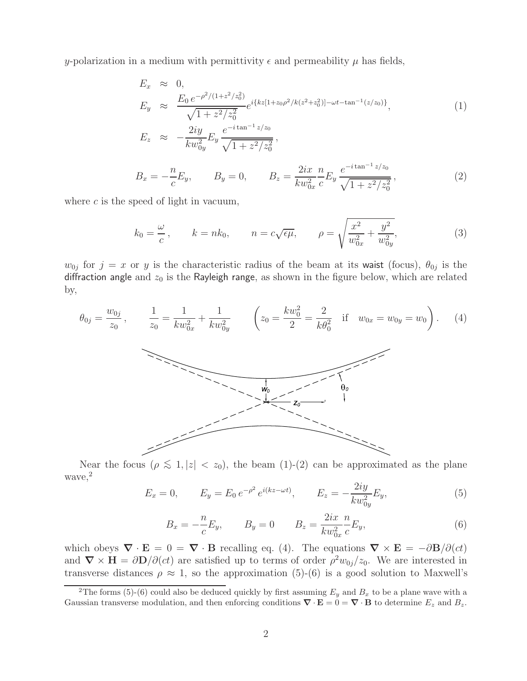y-polarization in a medium with permittivity  $\epsilon$  and permeability  $\mu$  has fields,

$$
E_x \approx 0,
$$
  
\n
$$
E_y \approx \frac{E_0 e^{-\rho^2/(1+z^2/z_0^2)}}{\sqrt{1+z^2/z_0^2}} e^{i\{kz[1+z_0\rho^2/k(z^2+z_0^2)]-\omega t-\tan^{-1}(z/z_0)\}},
$$
  
\n
$$
E_z \approx -\frac{2iy}{kw_{0y}^2} E_y \frac{e^{-i\tan^{-1}z/z_0}}{\sqrt{1+z^2/z_0^2}},
$$
\n(1)

$$
B_x = -\frac{n}{c} E_y, \qquad B_y = 0, \qquad B_z = \frac{2ix}{kw_{0x}^2} \frac{n}{c} E_y \frac{e^{-i \tan^{-1} z/z_0}}{\sqrt{1 + z^2/z_0^2}}, \tag{2}
$$

where  $c$  is the speed of light in vacuum,

$$
k_0 = \frac{\omega}{c}
$$
,  $k = nk_0$ ,  $n = c\sqrt{\epsilon\mu}$ ,  $\rho = \sqrt{\frac{x^2}{w_{0x}^2} + \frac{y^2}{w_{0y}^2}}$ , (3)

 $w_{0j}$  for  $j = x$  or y is the characteristic radius of the beam at its waist (focus),  $\theta_{0j}$  is the diffraction angle and  $z_0$  is the Rayleigh range, as shown in the figure below, which are related by,



Near the focus ( $\rho \lesssim 1, |z| < z_0$ ), the beam (1)-(2) can be approximated as the plane wave,<sup>2</sup>

$$
E_x = 0, \qquad E_y = E_0 e^{-\rho^2} e^{i(kz - \omega t)}, \qquad E_z = -\frac{2iy}{kw_{0y}^2} E_y,
$$
 (5)

$$
B_x = -\frac{n}{c} E_y, \qquad B_y = 0 \qquad B_z = \frac{2ix}{kw_{0x}^2} \frac{n}{c} E_y,
$$
 (6)

which obeys  $\nabla \cdot \mathbf{E} = 0 = \nabla \cdot \mathbf{B}$  recalling eq. (4). The equations  $\nabla \times \mathbf{E} = -\partial \mathbf{B}/\partial(ct)$ and  $\nabla \times \mathbf{H} = \frac{\partial \mathbf{D}}{\partial (ct)}$  are satisfied up to terms of order  $\rho^2 w_{0j}/z_0$ . We are interested in transverse distances  $\rho \approx 1$ , so the approximation (5)-(6) is a good solution to Maxwell's

<sup>&</sup>lt;sup>2</sup>The forms (5)-(6) could also be deduced quickly by first assuming  $E_y$  and  $B_x$  to be a plane wave with a Gaussian transverse modulation, and then enforcing conditions  $\nabla \cdot \mathbf{E} = 0 = \nabla \cdot \mathbf{B}$  to determine  $E_z$  and  $B_z$ .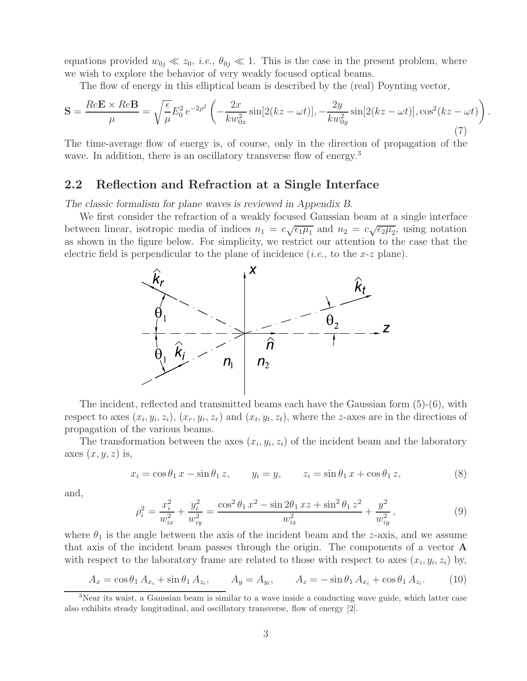equations provided  $w_{0j} \ll z_0$ , *i.e.*,  $\theta_{0j} \ll 1$ . This is the case in the present problem, where we wish to explore the behavior of very weakly focused optical beams.

The flow of energy in this elliptical beam is described by the (real) Poynting vector,

$$
\mathbf{S} = \frac{Re\mathbf{E} \times Re\mathbf{B}}{\mu} = \sqrt{\frac{\epsilon}{\mu}} E_0^2 e^{-2\rho^2} \left( -\frac{2x}{kw_{0x}^2} \sin[2(kz - \omega t)], -\frac{2y}{kw_{0y}^2} \sin[2(kz - \omega t)], \cos^2(kz - \omega t) \right)
$$
(7)

.

The time-average flow of energy is, of course, only in the direction of propagation of the wave. In addition, there is an oscillatory transverse flow of energy.<sup>3</sup>

#### **2.2 Reflection and Refraction at a Single Interface**

*The classic formalism for plane waves is reviewed in Appendix B.*

We first consider the refraction of a weakly focused Gaussian beam at a single interface between linear, isotropic media of indices  $n_1 = c\sqrt{\epsilon_1\mu_1}$  and  $n_2 = c\sqrt{\epsilon_2\mu_2}$ , using notation as shown in the figure below. For simplicity, we restrict our attention to the case that the electric field is perpendicular to the plane of incidence (*i.e.*, to the x-z plane).



The incident, reflected and transmitted beams each have the Gaussian form (5)-(6), with respect to axes  $(x_i, y_i, z_i)$ ,  $(x_r, y_r, z_r)$  and  $(x_t, y_t, z_t)$ , where the z-axes are in the directions of propagation of the various beams.

The transformation between the axes  $(x_i, y_i, z_i)$  of the incident beam and the laboratory axes  $(x, y, z)$  is,

$$
x_i = \cos \theta_1 x - \sin \theta_1 z, \qquad y_i = y, \qquad z_i = \sin \theta_1 x + \cos \theta_1 z,
$$
 (8)

and,

$$
\rho_i^2 = \frac{x_i^2}{w_{ix}^2} + \frac{y_i^2}{w_{iy}^2} = \frac{\cos^2 \theta_1 x^2 - \sin 2\theta_1 xz + \sin^2 \theta_1 z^2}{w_{ix}^2} + \frac{y^2}{w_{iy}^2},\tag{9}
$$

where  $\theta_1$  is the angle between the axis of the incident beam and the z-axis, and we assume that axis of the incident beam passes through the origin. The components of a vector **A** with respect to the laboratory frame are related to those with respect to axes  $(x_i, y_i, z_i)$  by,

$$
A_x = \cos \theta_1 A_{x_i} + \sin \theta_1 A_{z_i}, \qquad A_y = A_{y_i}, \qquad A_z = -\sin \theta_1 A_{x_i} + \cos \theta_1 A_{z_i}. \tag{10}
$$

<sup>&</sup>lt;sup>3</sup>Near its waist, a Gaussian beam is similar to a wave inside a conducting wave guide, which latter case also exhibits steady longitudinal, and oscillatory transverse, flow of energy [2].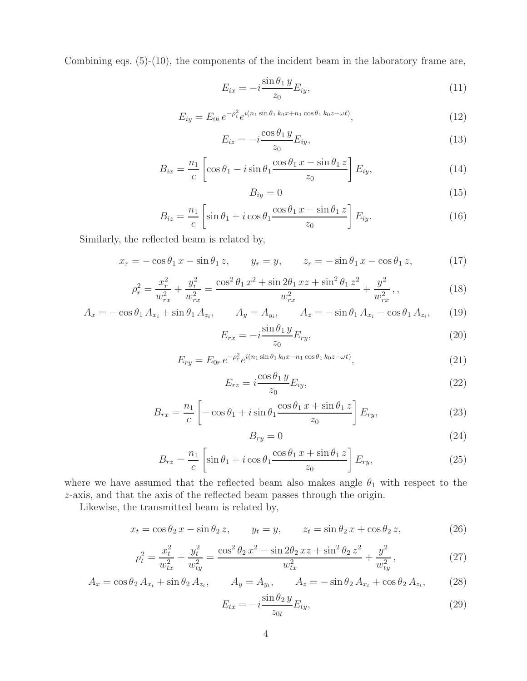Combining eqs. (5)-(10), the components of the incident beam in the laboratory frame are,

$$
E_{ix} = -i \frac{\sin \theta_1 y}{z_0} E_{iy}, \qquad (11)
$$

$$
E_{iy} = E_{0i} e^{-\rho_i^2} e^{i(n_1 \sin \theta_1 k_0 x + n_1 \cos \theta_1 k_0 z - \omega t)}, \qquad (12)
$$

$$
E_{iz} = -i \frac{\cos \theta_1 y}{z_0} E_{iy}, \qquad (13)
$$

$$
B_{ix} = \frac{n_1}{c} \left[ \cos \theta_1 - i \sin \theta_1 \frac{\cos \theta_1 x - \sin \theta_1 z}{z_0} \right] E_{iy}, \tag{14}
$$

$$
B_{iy} = 0 \tag{15}
$$

$$
B_{iz} = \frac{n_1}{c} \left[ \sin \theta_1 + i \cos \theta_1 \frac{\cos \theta_1 x - \sin \theta_1 z}{z_0} \right] E_{iy}.
$$
 (16)

Similarly, the reflected beam is related by,

$$
x_r = -\cos\theta_1 x - \sin\theta_1 z, \qquad y_r = y, \qquad z_r = -\sin\theta_1 x - \cos\theta_1 z,\tag{17}
$$

$$
\rho_r^2 = \frac{x_r^2}{w_{rx}^2} + \frac{y_r^2}{w_{rx}^2} = \frac{\cos^2 \theta_1 x^2 + \sin 2\theta_1 xz + \sin^2 \theta_1 z^2}{w_{rx}^2} + \frac{y^2}{w_{rx}^2},
$$
\n(18)

$$
A_x = -\cos\theta_1 A_{x_i} + \sin\theta_1 A_{z_i}, \qquad A_y = A_{y_i}, \qquad A_z = -\sin\theta_1 A_{x_i} - \cos\theta_1 A_{z_i}, \qquad (19)
$$

$$
E_{rx} = -i \frac{\sin \theta_1 y}{z_0} E_{ry},\tag{20}
$$

$$
E_{ry} = E_{0r} e^{-\rho_r^2} e^{i(n_1 \sin \theta_1 k_0 x - n_1 \cos \theta_1 k_0 z - \omega t)}, \qquad (21)
$$

$$
E_{rz} = i \frac{\cos \theta_1 y}{z_0} E_{iy},\tag{22}
$$

$$
B_{rx} = \frac{n_1}{c} \left[ -\cos\theta_1 + i\sin\theta_1 \frac{\cos\theta_1 x + \sin\theta_1 z}{z_0} \right] E_{ry},\tag{23}
$$

$$
B_{ry} = 0 \tag{24}
$$

$$
B_{rz} = \frac{n_1}{c} \left[ \sin \theta_1 + i \cos \theta_1 \frac{\cos \theta_1 x + \sin \theta_1 z}{z_0} \right] E_{ry}, \tag{25}
$$

where we have assumed that the reflected beam also makes angle  $\theta_1$  with respect to the z-axis, and that the axis of the reflected beam passes through the origin.

Likewise, the transmitted beam is related by,

$$
x_t = \cos \theta_2 x - \sin \theta_2 z, \qquad y_t = y, \qquad z_t = \sin \theta_2 x + \cos \theta_2 z,\tag{26}
$$

$$
\rho_t^2 = \frac{x_t^2}{w_{tx}^2} + \frac{y_t^2}{w_{ty}^2} = \frac{\cos^2 \theta_2 x^2 - \sin 2\theta_2 xz + \sin^2 \theta_2 z^2}{w_{tx}^2} + \frac{y^2}{w_{ty}^2},\tag{27}
$$

$$
A_x = \cos \theta_2 A_{x_t} + \sin \theta_2 A_{z_t}, \qquad A_y = A_{y_t}, \qquad A_z = -\sin \theta_2 A_{x_t} + \cos \theta_2 A_{z_t}, \qquad (28)
$$

$$
E_{tx} = -i \frac{\sin \theta_2 y}{z_{0t}} E_{ty}, \qquad (29)
$$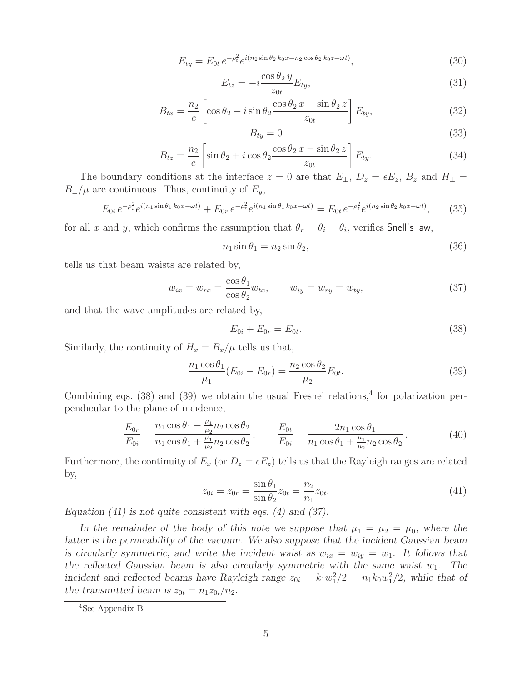$$
E_{ty} = E_{0t} e^{-\rho_t^2} e^{i(n_2 \sin \theta_2 k_0 x + n_2 \cos \theta_2 k_0 z - \omega t)},
$$
\n(30)

$$
E_{tz} = -i \frac{\cos \theta_2 y}{z_{0t}} E_{ty}, \qquad (31)
$$

$$
B_{tx} = \frac{n_2}{c} \left[ \cos \theta_2 - i \sin \theta_2 \frac{\cos \theta_2 x - \sin \theta_2 z}{z_{0t}} \right] E_{ty}, \tag{32}
$$

$$
B_{ty} = 0 \tag{33}
$$

$$
B_{tz} = \frac{n_2}{c} \left[ \sin \theta_2 + i \cos \theta_2 \frac{\cos \theta_2 x - \sin \theta_2 z}{z_{0t}} \right] E_{ty}.
$$
 (34)

The boundary conditions at the interface  $z = 0$  are that  $E_{\perp}$ ,  $D_z = \epsilon E_z$ ,  $B_z$  and  $H_{\perp} =$  $B_{\perp}/\mu$  are continuous. Thus, continuity of  $E_y$ ,

$$
E_{0i} e^{-\rho_i^2} e^{i(n_1 \sin \theta_1 k_0 x - \omega t)} + E_{0r} e^{-\rho_r^2} e^{i(n_1 \sin \theta_1 k_0 x - \omega t)} = E_{0t} e^{-\rho_t^2} e^{i(n_2 \sin \theta_2 k_0 x - \omega t)}, \tag{35}
$$

for all x and y, which confirms the assumption that  $\theta_r = \theta_i = \theta_i$ , verifies Snell's law,

$$
n_1 \sin \theta_1 = n_2 \sin \theta_2,\tag{36}
$$

tells us that beam waists are related by,

$$
w_{ix} = w_{rx} = \frac{\cos \theta_1}{\cos \theta_2} w_{tx}, \qquad w_{iy} = w_{ry} = w_{ty}, \qquad (37)
$$

and that the wave amplitudes are related by,

$$
E_{0i} + E_{0r} = E_{0t}.
$$
\n(38)

Similarly, the continuity of  $H_x = B_x/\mu$  tells us that,

$$
\frac{n_1 \cos \theta_1}{\mu_1} (E_{0i} - E_{0r}) = \frac{n_2 \cos \theta_2}{\mu_2} E_{0t}.
$$
\n(39)

Combining eqs. (38) and (39) we obtain the usual Fresnel relations,<sup>4</sup> for polarization perpendicular to the plane of incidence,

$$
\frac{E_{0r}}{E_{0i}} = \frac{n_1 \cos \theta_1 - \frac{\mu_1}{\mu_2} n_2 \cos \theta_2}{n_1 \cos \theta_1 + \frac{\mu_1}{\mu_2} n_2 \cos \theta_2}, \qquad \frac{E_{0t}}{E_{0i}} = \frac{2n_1 \cos \theta_1}{n_1 \cos \theta_1 + \frac{\mu_1}{\mu_2} n_2 \cos \theta_2}.
$$
\n(40)

Furthermore, the continuity of  $E_x$  (or  $D_z = \epsilon E_z$ ) tells us that the Rayleigh ranges are related by,

$$
z_{0i} = z_{0r} = \frac{\sin \theta_1}{\sin \theta_2} z_{0t} = \frac{n_2}{n_1} z_{0t}.
$$
\n(41)

*Equation (41) is not quite consistent with eqs. (4) and (37).*

In the remainder of the body of this note we suppose that  $\mu_1 = \mu_2 = \mu_0$ , where the *latter is the permeability of the vacuum. We also suppose that the incident Gaussian beam is circularly symmetric, and write the incident waist as*  $w_{ix} = w_{iy} = w_1$ . It follows that *the reflected Gaussian beam is also circularly symmetric with the same waist*  $w_1$ *. The* incident and reflected beams have Rayleigh range  $z_{0i} = k_1 w_1^2/2 = n_1 k_0 w_1^2/2$ , while that of the transmitted beam is  $z_{0t} = n_1 z_{0i}/n_2$ .

<sup>4</sup>See Appendix B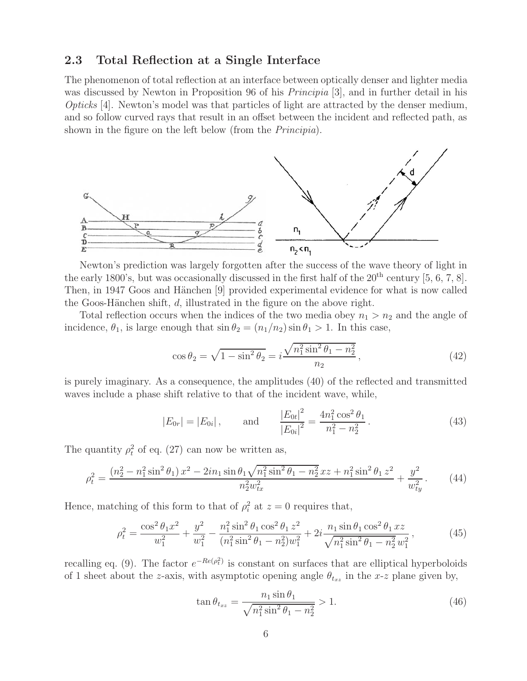#### **2.3 Total Reflection at a Single Interface**

The phenomenon of total reflection at an interface between optically denser and lighter media was discussed by Newton in Proposition 96 of his *Principia* [3], and in further detail in his *Opticks* [4]. Newton's model was that particles of light are attracted by the denser medium, and so follow curved rays that result in an offset between the incident and reflected path, as shown in the figure on the left below (from the *Principia*).



Newton's prediction was largely forgotten after the success of the wave theory of light in the early 1800's, but was occasionally discussed in the first half of the  $20<sup>th</sup>$  century [5, 6, 7, 8]. Then, in 1947 Goos and Hänchen [9] provided experimental evidence for what is now called the Goos-Hänchen shift,  $d$ , illustrated in the figure on the above right.

Total reflection occurs when the indices of the two media obey  $n_1 > n_2$  and the angle of incidence,  $\theta_1$ , is large enough that  $\sin \theta_2 = (n_1/n_2) \sin \theta_1 > 1$ . In this case,

$$
\cos \theta_2 = \sqrt{1 - \sin^2 \theta_2} = i \frac{\sqrt{n_1^2 \sin^2 \theta_1 - n_2^2}}{n_2},\tag{42}
$$

is purely imaginary. As a consequence, the amplitudes (40) of the reflected and transmitted waves include a phase shift relative to that of the incident wave, while,

$$
|E_{0r}| = |E_{0i}|
$$
, and  $\frac{|E_{0t}|^2}{|E_{0i}|^2} = \frac{4n_1^2 \cos^2 \theta_1}{n_1^2 - n_2^2}$ . (43)

The quantity  $\rho_t^2$  of eq. (27) can now be written as,

$$
\rho_t^2 = \frac{\left(n_2^2 - n_1^2 \sin^2 \theta_1\right) x^2 - 2in_1 \sin \theta_1 \sqrt{n_1^2 \sin^2 \theta_1 - n_2^2} x z + n_1^2 \sin^2 \theta_1 z^2}{n_2^2 w_{tx}^2} + \frac{y^2}{w_{ty}^2}.
$$
(44)

Hence, matching of this form to that of  $\rho_i^2$  at  $z = 0$  requires that,

$$
\rho_t^2 = \frac{\cos^2 \theta_1 x^2}{w_1^2} + \frac{y^2}{w_1^2} - \frac{n_1^2 \sin^2 \theta_1 \cos^2 \theta_1 z^2}{(n_1^2 \sin^2 \theta_1 - n_2^2) w_1^2} + 2i \frac{n_1 \sin \theta_1 \cos^2 \theta_1 xz}{\sqrt{n_1^2 \sin^2 \theta_1 - n_2^2 w_1^2}},
$$
(45)

recalling eq. (9). The factor  $e^{-Re(\rho_t^2)}$  is constant on surfaces that are elliptical hyperboloids of 1 sheet about the z-axis, with asymptotic opening angle  $\theta_{t_{xz}}$  in the x-z plane given by,

$$
\tan \theta_{t_{xz}} = \frac{n_1 \sin \theta_1}{\sqrt{n_1^2 \sin^2 \theta_1 - n_2^2}} > 1.
$$
\n(46)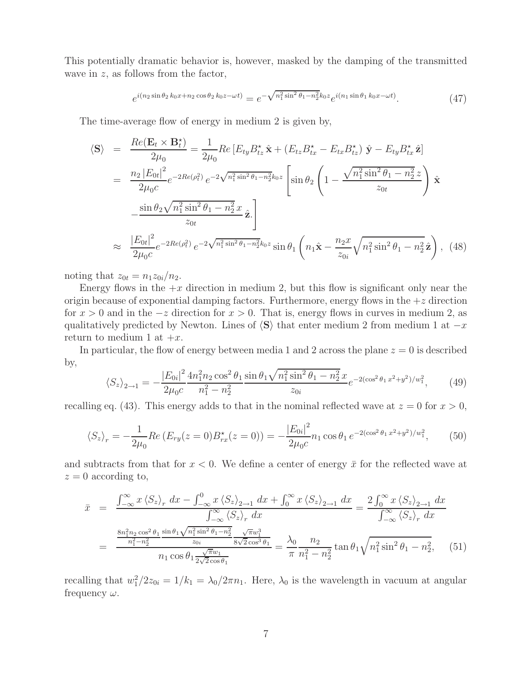This potentially dramatic behavior is, however, masked by the damping of the transmitted wave in  $z$ , as follows from the factor,

$$
e^{i(n_2\sin\theta_2 k_0 x + n_2\cos\theta_2 k_0 z - \omega t)} = e^{-\sqrt{n_1^2 \sin^2\theta_1 - n_2^2} k_0 z} e^{i(n_1\sin\theta_1 k_0 x - \omega t)}.
$$
 (47)

The time-average flow of energy in medium 2 is given by,

$$
\langle \mathbf{S} \rangle = \frac{Re(\mathbf{E}_{t} \times \mathbf{B}_{t}^{*})}{2\mu_{0}} = \frac{1}{2\mu_{0}} Re\left[E_{ty} B_{tz}^{*} \hat{\mathbf{x}} + (E_{tz} B_{tx}^{*} - E_{tx} B_{tz}^{*}) \hat{\mathbf{y}} - E_{ty} B_{tx}^{*} \hat{\mathbf{z}}\right]
$$
  
\n
$$
= \frac{n_{2} |E_{0t}|^{2}}{2\mu_{0} c} e^{-2Re(\rho_{t}^{2})} e^{-2\sqrt{n_{1}^{2} \sin^{2} \theta_{1} - n_{2}^{2} k_{0} z} \left[\sin \theta_{2} \left(1 - \frac{\sqrt{n_{1}^{2} \sin^{2} \theta_{1} - n_{2}^{2} z}}{z_{0t}}\right) \hat{\mathbf{x}}\right]
$$
  
\n
$$
\approx \frac{|\mathbf{E}_{0t}|^{2}}{2\mu_{0} c} e^{-2Re(\rho_{t}^{2})} e^{-2\sqrt{n_{1}^{2} \sin^{2} \theta_{1} - n_{2}^{2} k_{0} z} \sin \theta_{1} \left(n_{1} \hat{\mathbf{x}} - \frac{n_{2} x}{z_{0i}} \sqrt{n_{1}^{2} \sin^{2} \theta_{1} - n_{2}^{2} \hat{\mathbf{z}}}\right), \quad (48)
$$

noting that  $z_{0t} = n_1 z_{0i}/n_2$ .

Energy flows in the  $+x$  direction in medium 2, but this flow is significant only near the origin because of exponential damping factors. Furthermore, energy flows in the  $+z$  direction for  $x > 0$  and in the  $-z$  direction for  $x > 0$ . That is, energy flows in curves in medium 2, as qualitatively predicted by Newton. Lines of  $\langle S \rangle$  that enter medium 2 from medium 1 at  $-x$ return to medium 1 at  $+x$ .

In particular, the flow of energy between media 1 and 2 across the plane  $z = 0$  is described by,

$$
\langle S_z \rangle_{2 \to 1} = -\frac{|E_{0i}|^2}{2\mu_0 c} \frac{4n_1^2 n_2 \cos^2 \theta_1 \sin \theta_1 \sqrt{n_1^2 \sin^2 \theta_1 - n_2^2} x}{n_1^2 - n_2^2} e^{-2(\cos^2 \theta_1 x^2 + y^2)/w_1^2}, \quad (49)
$$

recalling eq. (43). This energy adds to that in the nominal reflected wave at  $z = 0$  for  $x > 0$ ,

$$
\langle S_z \rangle_r = -\frac{1}{2\mu_0} Re \left( E_{r y}(z=0) B_{r x}^*(z=0) \right) = -\frac{|E_{0i}|^2}{2\mu_0 c} n_1 \cos \theta_1 e^{-2(\cos^2 \theta_1 x^2 + y^2)/w_1^2}, \tag{50}
$$

and subtracts from that for  $x < 0$ . We define a center of energy  $\bar{x}$  for the reflected wave at  $z = 0$  according to,

$$
\bar{x} = \frac{\int_{-\infty}^{\infty} x \langle S_z \rangle_r dx - \int_{-\infty}^0 x \langle S_z \rangle_{2\to 1} dx + \int_0^{\infty} x \langle S_z \rangle_{2\to 1} dx}{\int_{-\infty}^{\infty} \langle S_z \rangle_r dx} = \frac{2 \int_0^{\infty} x \langle S_z \rangle_{2\to 1} dx}{\int_{-\infty}^{\infty} \langle S_z \rangle_r dx}
$$
\n
$$
= \frac{\frac{8n_1^2 n_2 \cos^2 \theta_1 \sin \theta_1 \sqrt{n_1^2 \sin^2 \theta_1 - n_2^2}}{n_1^2 - n_2^2} \frac{\sqrt{\pi} w_1^3}{8\sqrt{2} \cos^3 \theta_1}}{\int_{-\infty}^{\infty} \sqrt{n_1^2 \sin^2 \theta_1 - n_2^2}} = \frac{\lambda_0}{\pi} \frac{n_2}{n_1^2 - n_2^2} \tan \theta_1 \sqrt{n_1^2 \sin^2 \theta_1 - n_2^2}, \quad (51)
$$

recalling that  $w_1^2/2z_{0i} = 1/k_1 = \lambda_0/2\pi n_1$ . Here,  $\lambda_0$  is the wavelength in vacuum at angular frequency  $\omega$ .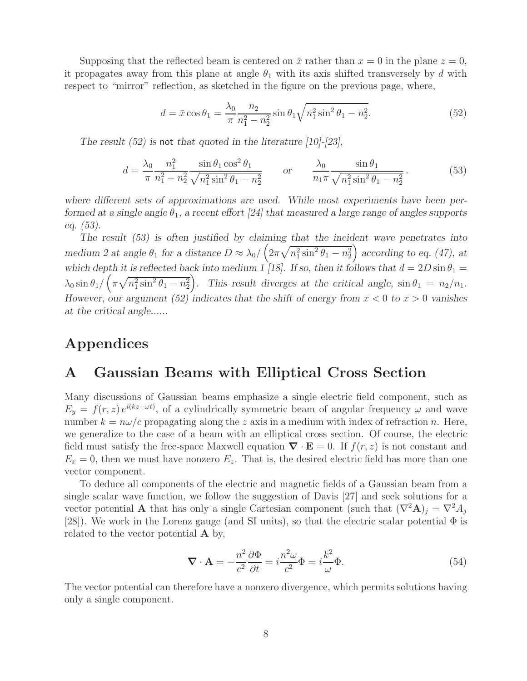Supposing that the reflected beam is centered on  $\bar{x}$  rather than  $x = 0$  in the plane  $z = 0$ , it propagates away from this plane at angle  $\theta_1$  with its axis shifted transversely by d with respect to "mirror" reflection, as sketched in the figure on the previous page, where,

$$
d = \bar{x}\cos\theta_1 = \frac{\lambda_0}{\pi} \frac{n_2}{n_1^2 - n_2^2} \sin\theta_1 \sqrt{n_1^2 \sin^2\theta_1 - n_2^2}.
$$
 (52)

*The result (52) is* not *that quoted in the literature [10]-[23],*

$$
d = \frac{\lambda_0}{\pi} \frac{n_1^2}{n_1^2 - n_2^2} \frac{\sin \theta_1 \cos^2 \theta_1}{\sqrt{n_1^2 \sin^2 \theta_1 - n_2^2}} \qquad \text{or} \qquad \frac{\lambda_0}{n_1 \pi} \frac{\sin \theta_1}{\sqrt{n_1^2 \sin^2 \theta_1 - n_2^2}} \,. \tag{53}
$$

*where different sets of approximations are used. While most experiments have been performed at a single angle*  $\theta_1$ , a recent effort [24] that measured a large range of angles supports *eq. (53).*

*The result (53) is often justified by claiming that the incident wave penetrates into medium 2 at angle*  $\theta_1$  *for a distance*  $D \approx \lambda_0 / \left(2\pi \sqrt{n_1^2 \sin^2 \theta_1 - n_2^2}\right)$  *according to eq.* (47), *at* which depth it is reflected back into medium 1 [18]. If so, then it follows that  $d = 2D \sin \theta_1 =$  $\lambda_0 \sin \theta_1 / (\pi \sqrt{n_1^2 \sin^2 \theta_1 - n_2^2})$ . This result diverges at the critical angle,  $\sin \theta_1 = n_2/n_1$ . *However, our argument (52) indicates that the shift of energy from*  $x < 0$  to  $x > 0$  vanishes *at the critical angle......*

## **Appendices**

### **A Gaussian Beams with Elliptical Cross Section**

Many discussions of Gaussian beams emphasize a single electric field component, such as  $E_y = f(r, z) e^{i(kz - \omega t)}$ , of a cylindrically symmetric beam of angular frequency  $\omega$  and wave number  $k = n\omega/c$  propagating along the z axis in a medium with index of refraction n. Here, we generalize to the case of a beam with an elliptical cross section. Of course, the electric field must satisfy the free-space Maxwell equation  $\nabla \cdot \mathbf{E} = 0$ . If  $f(r, z)$  is not constant and  $E_x = 0$ , then we must have nonzero  $E_z$ . That is, the desired electric field has more than one vector component.

To deduce all components of the electric and magnetic fields of a Gaussian beam from a single scalar wave function, we follow the suggestion of Davis [27] and seek solutions for a vector potential **A** that has only a single Cartesian component (such that  $(\nabla^2 \mathbf{A})_j = \nabla^2 A_j$ [28]). We work in the Lorenz gauge (and SI units), so that the electric scalar potential  $\Phi$  is related to the vector potential **A** by,

$$
\nabla \cdot \mathbf{A} = -\frac{n^2}{c^2} \frac{\partial \Phi}{\partial t} = i \frac{n^2 \omega}{c^2} \Phi = i \frac{k^2}{\omega} \Phi.
$$
 (54)

The vector potential can therefore have a nonzero divergence, which permits solutions having only a single component.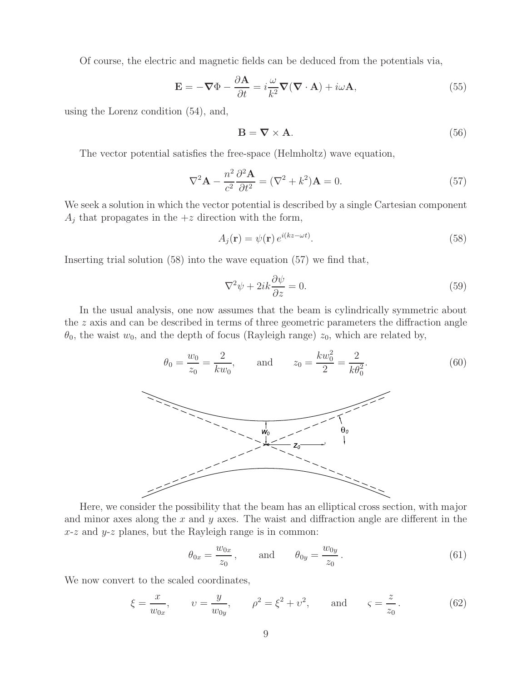Of course, the electric and magnetic fields can be deduced from the potentials via,

$$
\mathbf{E} = -\nabla\Phi - \frac{\partial \mathbf{A}}{\partial t} = i\frac{\omega}{k^2}\nabla(\nabla \cdot \mathbf{A}) + i\omega \mathbf{A},
$$
\n(55)

using the Lorenz condition (54), and,

$$
\mathbf{B} = \nabla \times \mathbf{A}.\tag{56}
$$

The vector potential satisfies the free-space (Helmholtz) wave equation,

$$
\nabla^2 \mathbf{A} - \frac{n^2}{c^2} \frac{\partial^2 \mathbf{A}}{\partial t^2} = (\nabla^2 + k^2) \mathbf{A} = 0.
$$
 (57)

We seek a solution in which the vector potential is described by a single Cartesian component  $A_j$  that propagates in the  $+z$  direction with the form,

$$
A_j(\mathbf{r}) = \psi(\mathbf{r}) e^{i(kz - \omega t)}.
$$
\n(58)

Inserting trial solution (58) into the wave equation (57) we find that,

$$
\nabla^2 \psi + 2ik \frac{\partial \psi}{\partial z} = 0.
$$
\n(59)

In the usual analysis, one now assumes that the beam is cylindrically symmetric about the z axis and can be described in terms of three geometric parameters the diffraction angle  $\theta_0$ , the waist  $w_0$ , and the depth of focus (Rayleigh range)  $z_0$ , which are related by,



Here, we consider the possibility that the beam has an elliptical cross section, with major and minor axes along the  $x$  and  $y$  axes. The waist and diffraction angle are different in the  $x-z$  and  $y-z$  planes, but the Rayleigh range is in common:

$$
\theta_{0x} = \frac{w_{0x}}{z_0},
$$
 and  $\theta_{0y} = \frac{w_{0y}}{z_0}.$  (61)

We now convert to the scaled coordinates,

$$
\xi = \frac{x}{w_{0x}}, \qquad v = \frac{y}{w_{0y}}, \qquad \rho^2 = \xi^2 + v^2, \qquad \text{and} \qquad \varsigma = \frac{z}{z_0}.
$$
\n(62)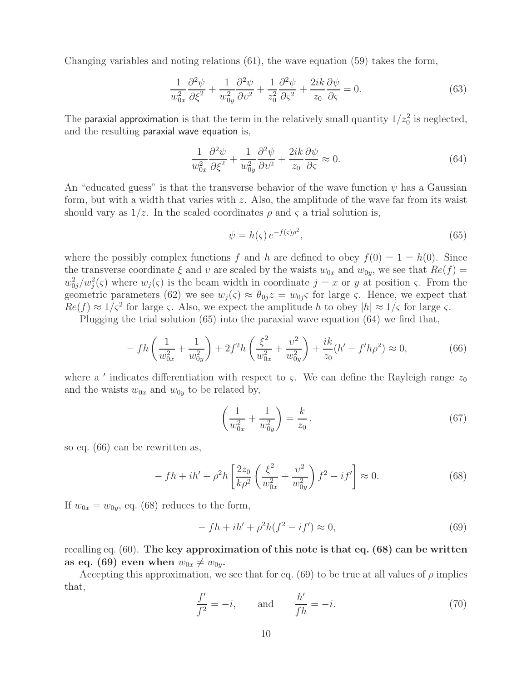Changing variables and noting relations (61), the wave equation (59) takes the form,

$$
\frac{1}{w_{0x}^2} \frac{\partial^2 \psi}{\partial \xi^2} + \frac{1}{w_{0y}^2} \frac{\partial^2 \psi}{\partial v^2} + \frac{1}{z_0^2} \frac{\partial^2 \psi}{\partial \xi^2} + \frac{2ik}{z_0} \frac{\partial \psi}{\partial \xi} = 0.
$$
 (63)

The paraxial approximation is that the term in the relatively small quantity  $1/z_0^2$  is neglected, and the resulting paraxial wave equation is,

$$
\frac{1}{w_{0x}^2} \frac{\partial^2 \psi}{\partial \xi^2} + \frac{1}{w_{0y}^2} \frac{\partial^2 \psi}{\partial v^2} + \frac{2ik}{z_0} \frac{\partial \psi}{\partial \zeta} \approx 0.
$$
\n(64)

An "educated guess" is that the transverse behavior of the wave function  $\psi$  has a Gaussian form, but with a width that varies with  $z$ . Also, the amplitude of the wave far from its waist should vary as  $1/z$ . In the scaled coordinates  $\rho$  and  $\varsigma$  a trial solution is,

$$
\psi = h(\varsigma) e^{-f(\varsigma)\rho^2},\tag{65}
$$

where the possibly complex functions f and h are defined to obey  $f(0) = 1 = h(0)$ . Since the transverse coordinate  $\xi$  and  $v$  are scaled by the waists  $w_{0x}$  and  $w_{0y}$ , we see that  $Re(f)$  =  $w_{0j}^2/w_j^2(\varsigma)$  where  $w_j(\varsigma)$  is the beam width in coordinate  $j = x$  or y at position  $\varsigma$ . From the geometric parameters (62) we see  $w_i(\varsigma) \approx \theta_{0i} z = w_{0i} \varsigma$  for large  $\varsigma$ . Hence, we expect that  $Re(f) \approx 1/\varsigma^2$  for large  $\varsigma$ . Also, we expect the amplitude h to obey  $|h| \approx 1/\varsigma$  for large  $\varsigma$ .

Plugging the trial solution (65) into the paraxial wave equation (64) we find that,

$$
- f h\left(\frac{1}{w_{0x}^2} + \frac{1}{w_{0y}^2}\right) + 2f^2 h\left(\frac{\xi^2}{w_{0x}^2} + \frac{v^2}{w_{0y}^2}\right) + \frac{ik}{z_0}(h' - f'h\rho^2) \approx 0,
$$
\n(66)

where a ' indicates differentiation with respect to  $\varsigma$ . We can define the Rayleigh range  $z_0$ and the waists  $w_{0x}$  and  $w_{0y}$  to be related by,

$$
\left(\frac{1}{w_{0x}^2} + \frac{1}{w_{0y}^2}\right) = \frac{k}{z_0},\tag{67}
$$

so eq. (66) can be rewritten as,

$$
- f h + i h' + \rho^2 h \left[ \frac{2z_0}{k \rho^2} \left( \frac{\xi^2}{w_{0x}^2} + \frac{v^2}{w_{0y}^2} \right) f^2 - i f' \right] \approx 0. \tag{68}
$$

If  $w_{0x} = w_{0y}$ , eq. (68) reduces to the form,

$$
-fh + ih' + \rho^2 h(f^2 - if') \approx 0,
$$
\n(69)

recalling eq. (60). **The key approximation of this note is that eq. (68) can be written** as eq. (69) even when  $w_{0x} \neq w_{0y}$ .

Accepting this approximation, we see that for eq. (69) to be true at all values of  $\rho$  implies that,

$$
\frac{f'}{f^2} = -i, \qquad \text{and} \qquad \frac{h'}{fh} = -i.
$$
\n(70)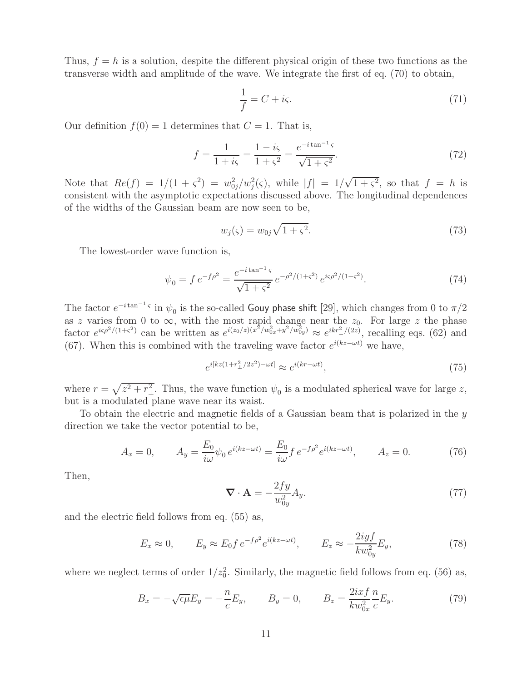Thus,  $f = h$  is a solution, despite the different physical origin of these two functions as the transverse width and amplitude of the wave. We integrate the first of eq. (70) to obtain,

$$
\frac{1}{f} = C + i\varsigma. \tag{71}
$$

Our definition  $f(0) = 1$  determines that  $C = 1$ . That is,

$$
f = \frac{1}{1 + i\varsigma} = \frac{1 - i\varsigma}{1 + \varsigma^2} = \frac{e^{-i\tan^{-1}\varsigma}}{\sqrt{1 + \varsigma^2}}.
$$
 (72)

Note that  $Re(f) = 1/(1 + \varsigma^2) = w_{0j}^2/w_j^2(\varsigma)$ , while  $|f| = 1/\sqrt{1 + \varsigma^2}$ , so that  $f = h$  is consistent with the asymptotic expectations discussed above. The longitudinal dependences of the widths of the Gaussian beam are now seen to be,

$$
w_j(\varsigma) = w_{0j}\sqrt{1+\varsigma^2}.\tag{73}
$$

The lowest-order wave function is,

$$
\psi_0 = f e^{-f\rho^2} = \frac{e^{-i\tan^{-1}\varsigma}}{\sqrt{1+\varsigma^2}} e^{-\rho^2/(1+\varsigma^2)} e^{i\varsigma\rho^2/(1+\varsigma^2)}.
$$
\n(74)

The factor  $e^{-i \tan^{-1} \varsigma}$  in  $\psi_0$  is the so-called Gouy phase shift [29], which changes from 0 to  $\pi/2$ as z varies from 0 to  $\infty$ , with the most rapid change near the  $z_0$ . For large z the phase factor  $e^{i\varsigma\rho^2/(1+\varsigma^2)}$  can be written as  $e^{i(z_0/z)(x^2/w_{0x}^2+y^2/w_{0y}^2)} \approx e^{ikr_{\perp}^2/(2z)}$ , recalling eqs. (62) and (67). When this is combined with the traveling wave factor  $e^{i(kz-\omega t)}$  we have,

$$
e^{i[kz(1+r_{\perp}^2/2z^2)-\omega t]} \approx e^{i(kr-\omega t)},\tag{75}
$$

where  $r = \sqrt{z^2 + r_\perp^2}$ . Thus, the wave function  $\psi_0$  is a modulated spherical wave for large z, but is a modulated plane wave near its waist.

To obtain the electric and magnetic fields of a Gaussian beam that is polarized in the  $y$ direction we take the vector potential to be,

$$
A_x = 0, \qquad A_y = \frac{E_0}{i\omega} \psi_0 \, e^{i(kz - \omega t)} = \frac{E_0}{i\omega} f \, e^{-f\rho^2} e^{i(kz - \omega t)}, \qquad A_z = 0. \tag{76}
$$

Then,

$$
\nabla \cdot \mathbf{A} = -\frac{2fy}{w_{0y}^2} A_y. \tag{77}
$$

and the electric field follows from eq. (55) as,

$$
E_x \approx 0, \qquad E_y \approx E_0 f e^{-f\rho^2} e^{i(kz - \omega t)}, \qquad E_z \approx -\frac{2iyf}{kw_{0y}^2} E_y,\tag{78}
$$

where we neglect terms of order  $1/z_0^2$ . Similarly, the magnetic field follows from eq. (56) as,

$$
B_x = -\sqrt{\epsilon \mu} E_y = -\frac{n}{c} E_y, \qquad B_y = 0, \qquad B_z = \frac{2ixf}{kw_{0x}^2} \frac{n}{c} E_y.
$$
 (79)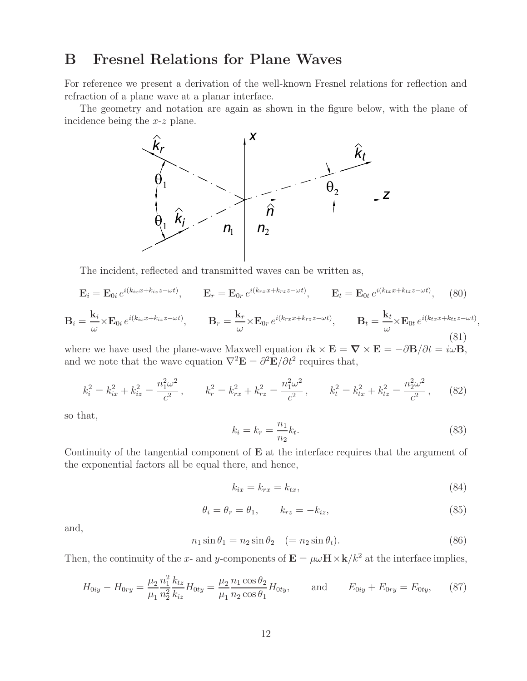# **B Fresnel Relations for Plane Waves**

For reference we present a derivation of the well-known Fresnel relations for reflection and refraction of a plane wave at a planar interface.

The geometry and notation are again as shown in the figure below, with the plane of incidence being the x-z plane.



The incident, reflected and transmitted waves can be written as,

$$
\mathbf{E}_{i} = \mathbf{E}_{0i} e^{i(k_{ix}x + k_{iz}z - \omega t)}, \qquad \mathbf{E}_{r} = \mathbf{E}_{0r} e^{i(k_{rx}x + k_{rz}z - \omega t)}, \qquad \mathbf{E}_{t} = \mathbf{E}_{0t} e^{i(k_{tx}x + k_{tz}z - \omega t)}, \qquad (80)
$$

$$
\mathbf{B}_{i} = \frac{\mathbf{k}_{i}}{\omega} \times \mathbf{E}_{0i} e^{i(k_{ix}x + k_{iz}z - \omega t)}, \qquad \mathbf{B}_{r} = \frac{\mathbf{k}_{r}}{\omega} \times \mathbf{E}_{0r} e^{i(k_{rx}x + k_{rz}z - \omega t)}, \qquad \mathbf{B}_{t} = \frac{\mathbf{k}_{t}}{\omega} \times \mathbf{E}_{0t} e^{i(k_{tx}x + k_{tz}z - \omega t)},
$$
\n(81)

where we have used the plane-wave Maxwell equation  $i\mathbf{k} \times \mathbf{E} = \nabla \times \mathbf{E} = -\partial \mathbf{B}/\partial t = i\omega \mathbf{B}$ , and we note that the wave equation  $\nabla^2 \mathbf{E} = \partial^2 \mathbf{E} / \partial t^2$  requires that,

$$
k_i^2 = k_{ix}^2 + k_{iz}^2 = \frac{n_1^2 \omega^2}{c^2}, \qquad k_r^2 = k_{rx}^2 + k_{rz}^2 = \frac{n_1^2 \omega^2}{c^2}, \qquad k_t^2 = k_{tx}^2 + k_{tz}^2 = \frac{n_2^2 \omega^2}{c^2}, \qquad (82)
$$

so that,

$$
k_i = k_r = \frac{n_1}{n_2} k_t.
$$
\n(83)

Continuity of the tangential component of **E** at the interface requires that the argument of the exponential factors all be equal there, and hence,

$$
k_{ix} = k_{rx} = k_{tx},\tag{84}
$$

$$
\theta_i = \theta_r = \theta_1, \qquad k_{rz} = -k_{iz}, \tag{85}
$$

and,

$$
n_1 \sin \theta_1 = n_2 \sin \theta_2 \quad (= n_2 \sin \theta_t). \tag{86}
$$

Then, the continuity of the x- and y-components of  $\mathbf{E} = \mu \omega \mathbf{H} \times \mathbf{k}/k^2$  at the interface implies,

$$
H_{0iy} - H_{0ry} = \frac{\mu_2}{\mu_1} \frac{n_1^2}{n_2^2} \frac{k_{tz}}{k_{iz}} H_{0ty} = \frac{\mu_2}{\mu_1} \frac{n_1 \cos \theta_2}{n_2 \cos \theta_1} H_{0ty}, \quad \text{and} \quad E_{0iy} + E_{0ry} = E_{0ty}, \quad (87)
$$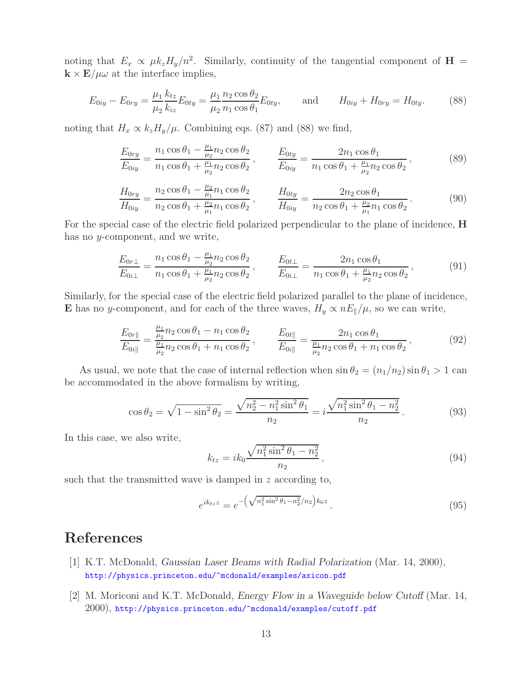noting that  $E_x \propto \mu k_z H_y/n^2$ . Similarly, continuity of the tangential component of **H** =  $\mathbf{k} \times \mathbf{E}/\mu\omega$  at the interface implies,

$$
E_{0iy} - E_{0ry} = \frac{\mu_1}{\mu_2} \frac{k_{tz}}{k_{iz}} E_{0ty} = \frac{\mu_1}{\mu_2} \frac{n_2 \cos \theta_2}{n_1 \cos \theta_1} E_{0ty}, \quad \text{and} \quad H_{0iy} + H_{0ry} = H_{0ty}.
$$
 (88)

noting that  $H_x \propto k_z H_y/\mu$ . Combining eqs. (87) and (88) we find,

$$
\frac{E_{0ry}}{E_{0iy}} = \frac{n_1 \cos \theta_1 - \frac{\mu_1}{\mu_2} n_2 \cos \theta_2}{n_1 \cos \theta_1 + \frac{\mu_1}{\mu_2} n_2 \cos \theta_2}, \qquad \frac{E_{0ty}}{E_{0iy}} = \frac{2n_1 \cos \theta_1}{n_1 \cos \theta_1 + \frac{\mu_1}{\mu_2} n_2 \cos \theta_2},
$$
\n(89)

$$
\frac{H_{0ry}}{H_{0iy}} = \frac{n_2 \cos \theta_1 - \frac{\mu_2}{\mu_1} n_1 \cos \theta_2}{n_2 \cos \theta_1 + \frac{\mu_2}{\mu_1} n_1 \cos \theta_2}, \qquad \frac{H_{0ty}}{H_{0iy}} = \frac{2n_2 \cos \theta_1}{n_2 \cos \theta_1 + \frac{\mu_2}{\mu_1} n_1 \cos \theta_2}.
$$
\n(90)

For the special case of the electric field polarized perpendicular to the plane of incidence, **H** has no y-component, and we write,

$$
\frac{E_{0r\perp}}{E_{0i\perp}} = \frac{n_1 \cos \theta_1 - \frac{\mu_1}{\mu_2} n_2 \cos \theta_2}{n_1 \cos \theta_1 + \frac{\mu_1}{\mu_2} n_2 \cos \theta_2}, \qquad \frac{E_{0t\perp}}{E_{0i\perp}} = \frac{2n_1 \cos \theta_1}{n_1 \cos \theta_1 + \frac{\mu_1}{\mu_2} n_2 \cos \theta_2}, \tag{91}
$$

Similarly, for the special case of the electric field polarized parallel to the plane of incidence, **E** has no y-component, and for each of the three waves,  $H_y \propto nE_{\parallel}/\mu$ , so we can write,

$$
\frac{E_{0r\parallel}}{E_{0i\parallel}} = \frac{\frac{\mu_1}{\mu_2} n_2 \cos \theta_1 - n_1 \cos \theta_2}{\frac{\mu_1}{\mu_2} n_2 \cos \theta_1 + n_1 \cos \theta_2}, \qquad \frac{E_{0t\parallel}}{E_{0i\parallel}} = \frac{2n_1 \cos \theta_1}{\frac{\mu_1}{\mu_2} n_2 \cos \theta_1 + n_1 \cos \theta_2},
$$
\n(92)

As usual, we note that the case of internal reflection when  $\sin \theta_2 = (n_1/n_2) \sin \theta_1 > 1$  can be accommodated in the above formalism by writing,

$$
\cos \theta_2 = \sqrt{1 - \sin^2 \theta_2} = \frac{\sqrt{n_2^2 - n_1^2 \sin^2 \theta_1}}{n_2} = i \frac{\sqrt{n_1^2 \sin^2 \theta_1 - n_2^2}}{n_2}.
$$
\n(93)

In this case, we also write,

$$
k_{tz} = ik_0 \frac{\sqrt{n_1^2 \sin^2 \theta_1 - n_2^2}}{n_2},
$$
\n(94)

such that the transmitted wave is damped in z according to,

$$
e^{ik_{tz}z} = e^{-\left(\sqrt{n_1^2 \sin^2 \theta_1 - n_2^2}/n_2\right)k_0z}.
$$
\n(95)

### **References**

- [1] K.T. McDonald, *Gaussian Laser Beams with Radial Polarization* (Mar. 14, 2000), http://physics.princeton.edu/~mcdonald/examples/axicon.pdf
- [2] M. Moriconi and K.T. McDonald, *Energy Flow in a Waveguide below Cutoff* (Mar. 14, 2000), http://physics.princeton.edu/~mcdonald/examples/cutoff.pdf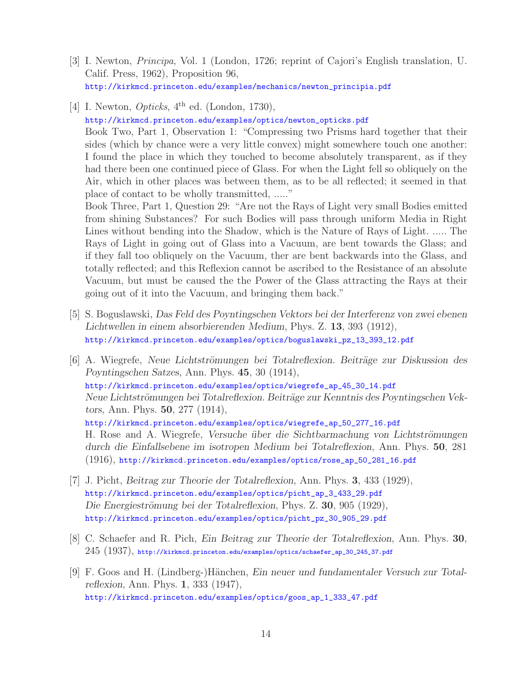- [3] I. Newton, *Principa*, Vol. 1 (London, 1726; reprint of Cajori's English translation, U. Calif. Press, 1962), Proposition 96, http://kirkmcd.princeton.edu/examples/mechanics/newton\_principia.pdf
- [4] I. Newton, *Opticks*, 4th ed. (London, 1730), http://kirkmcd.princeton.edu/examples/optics/newton\_opticks.pdf Book Two, Part 1, Observation 1: "Compressing two Prisms hard together that their sides (which by chance were a very little convex) might somewhere touch one another: I found the place in which they touched to become absolutely transparent, as if they had there been one continued piece of Glass. For when the Light fell so obliquely on the

place of contact to be wholly transmitted, ....." Book Three, Part 1, Question 29: "Are not the Rays of Light very small Bodies emitted from shining Substances? For such Bodies will pass through uniform Media in Right Lines without bending into the Shadow, which is the Nature of Rays of Light. ..... The Rays of Light in going out of Glass into a Vacuum, are bent towards the Glass; and if they fall too obliquely on the Vacuum, ther are bent backwards into the Glass, and totally reflected; and this Reflexion cannot be ascribed to the Resistance of an absolute Vacuum, but must be caused the the Power of the Glass attracting the Rays at their going out of it into the Vacuum, and bringing them back."

Air, which in other places was between them, as to be all reflected; it seemed in that

- [5] S. Boguslawski, *Das Feld des Poyntingschen Vektors bei der Interferenz von zwei ebenen Lichtwellen in einem absorbierenden Medium*, Phys. Z. **13**, 393 (1912), http://kirkmcd.princeton.edu/examples/optics/boguslawski\_pz\_13\_393\_12.pdf
- [6] A. Wiegrefe, *Neue Lichtströmungen bei Totalreflexion. Beiträge zur Diskussion des Poyntingschen Satzes*, Ann. Phys. **45**, 30 (1914), http://kirkmcd.princeton.edu/examples/optics/wiegrefe\_ap\_45\_30\_14.pdf Neue Lichtströmungen bei Totalreflexion. Beiträge zur Kenntnis des Poyntingschen Vek*tors*, Ann. Phys. **50**, 277 (1914), http://kirkmcd.princeton.edu/examples/optics/wiegrefe\_ap\_50\_277\_16.pdf H. Rose and A. Wiegrefe, *Versuche über die Sichtbarmachung von Lichtströmungen durch die Einfallsebene im isotropen Medium bei Totalreflexion*, Ann. Phys. **50**, 281 (1916), http://kirkmcd.princeton.edu/examples/optics/rose\_ap\_50\_281\_16.pdf
- [7] J. Picht, *Beitrag zur Theorie der Totalreflexion*, Ann. Phys. **3**, 433 (1929), http://kirkmcd.princeton.edu/examples/optics/picht\_ap\_3\_433\_29.pdf Die Energieströmung bei der Totalreflexion, Phys. Z. **30**, 905 (1929), http://kirkmcd.princeton.edu/examples/optics/picht\_pz\_30\_905\_29.pdf
- [8] C. Schaefer and R. Pich, *Ein Beitrag zur Theorie der Totalreflexion*, Ann. Phys. **30**,  $245\ (1937),$  http://kirkmcd.princeton.edu/examples/optics/schaefer\_ap\_30\_245\_37.pdf
- [9] F. Goos and H. (Lindberg-)Hänchen, *Ein neuer und fundamentaler Versuch zur Totalreflexion*, Ann. Phys. **1**, 333 (1947), http://kirkmcd.princeton.edu/examples/optics/goos\_ap\_1\_333\_47.pdf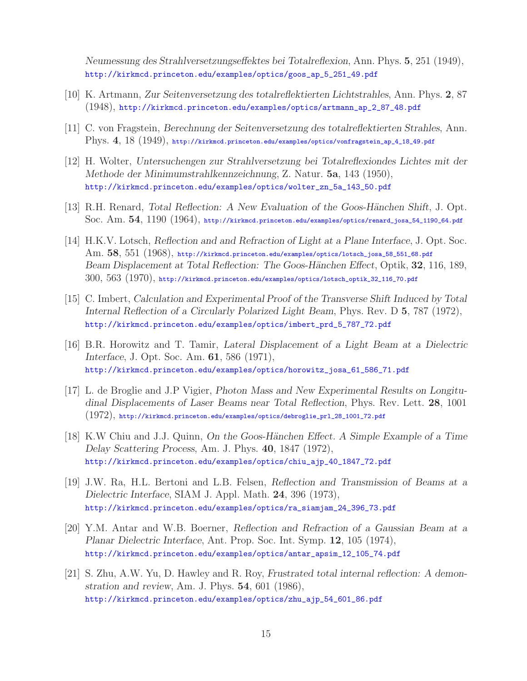*Neumessung des Strahlversetzungseffektes bei Totalreflexion*, Ann. Phys. **5**, 251 (1949), http://kirkmcd.princeton.edu/examples/optics/goos\_ap\_5\_251\_49.pdf

- [10] K. Artmann, *Zur Seitenversetzung des totalreflektierten Lichtstrahles*, Ann. Phys. **2**, 87 (1948), http://kirkmcd.princeton.edu/examples/optics/artmann\_ap\_2\_87\_48.pdf
- [11] C. von Fragstein, *Berechnung der Seitenversetzung des totalreflektierten Strahles*, Ann. Phys. **4**, 18 (1949), http://kirkmcd.princeton.edu/examples/optics/vonfragstein\_ap\_4\_18\_49.pdf
- [12] H. Wolter, *Untersuchengen zur Strahlversetzung bei Totalreflexiondes Lichtes mit der Methode der Minimumstrahlkennzeichnung*, Z. Natur. **5a**, 143 (1950), http://kirkmcd.princeton.edu/examples/optics/wolter\_zn\_5a\_143\_50.pdf
- [13] R.H. Renard, *Total Reflection: A New Evaluation of the Goos-Hänchen Shift*, J. Opt. Soc. Am. **54**, 1190 (1964), http://kirkmcd.princeton.edu/examples/optics/renard\_josa\_54\_1190\_64.pdf
- [14] H.K.V. Lotsch, *Reflection and and Refraction of Light at a Plane Interface*, J. Opt. Soc. Am. **58**, 551 (1968), http://kirkmcd.princeton.edu/examples/optics/lotsch\_josa\_58\_551\_68.pdf *Beam Displacement at Total Reflection: The Goos-H¨anchen Effect*, Optik, **32**, 116, 189, 300, 563 (1970), http://kirkmcd.princeton.edu/examples/optics/lotsch\_optik\_32\_116\_70.pdf
- [15] C. Imbert, *Calculation and Experimental Proof of the Transverse Shift Induced by Total Internal Reflection of a Circularly Polarized Light Beam*, Phys. Rev. D **5**, 787 (1972), http://kirkmcd.princeton.edu/examples/optics/imbert\_prd\_5\_787\_72.pdf
- [16] B.R. Horowitz and T. Tamir, *Lateral Displacement of a Light Beam at a Dielectric Interface*, J. Opt. Soc. Am. **61**, 586 (1971), http://kirkmcd.princeton.edu/examples/optics/horowitz\_josa\_61\_586\_71.pdf
- [17] L. de Broglie and J.P Vigier, *Photon Mass and New Experimental Results on Longitudinal Displacements of Laser Beams near Total Reflection*, Phys. Rev. Lett. **28**, 1001  $(1972)$ , http://kirkmcd.princeton.edu/examples/optics/debroglie\_prl\_28\_1001\_72.pdf
- [18] K.W Chiu and J.J. Quinn, *On the Goos-H¨anchen Effect. A Simple Example of a Time Delay Scattering Process*, Am. J. Phys. **40**, 1847 (1972), http://kirkmcd.princeton.edu/examples/optics/chiu\_ajp\_40\_1847\_72.pdf
- [19] J.W. Ra, H.L. Bertoni and L.B. Felsen, *Reflection and Transmission of Beams at a Dielectric Interface*, SIAM J. Appl. Math. **24**, 396 (1973), http://kirkmcd.princeton.edu/examples/optics/ra\_siamjam\_24\_396\_73.pdf
- [20] Y.M. Antar and W.B. Boerner, *Reflection and Refraction of a Gaussian Beam at a Planar Dielectric Interface*, Ant. Prop. Soc. Int. Symp. **12**, 105 (1974), http://kirkmcd.princeton.edu/examples/optics/antar\_apsim\_12\_105\_74.pdf
- [21] S. Zhu, A.W. Yu, D. Hawley and R. Roy, *Frustrated total internal reflection: A demonstration and review*, Am. J. Phys. **54**, 601 (1986), http://kirkmcd.princeton.edu/examples/optics/zhu\_ajp\_54\_601\_86.pdf